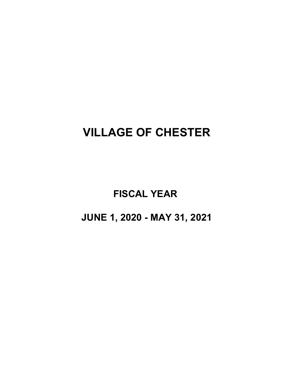# **VILLAGE OF CHESTER**

**FISCAL YEAR** 

**JUNE 1, 2020 - MAY 31, 2021**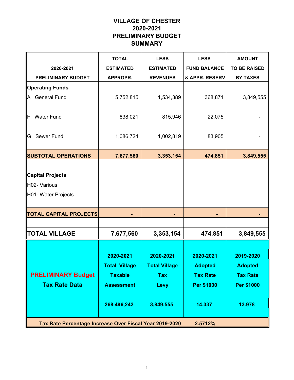# **VILLAGE OF CHESTER 2020-2021 PRELIMINARY BUDGET SUMMARY**

|                                                                | <b>TOTAL</b>                                                                            | <b>LESS</b>                                                          | <b>LESS</b>                                                                   | <b>AMOUNT</b>                                                          |
|----------------------------------------------------------------|-----------------------------------------------------------------------------------------|----------------------------------------------------------------------|-------------------------------------------------------------------------------|------------------------------------------------------------------------|
| 2020-2021                                                      | <b>ESTIMATED</b>                                                                        | <b>ESTIMATED</b>                                                     | <b>FUND BALANCE</b>                                                           | <b>TO BE RAISED</b>                                                    |
| <b>PRELIMINARY BUDGET</b>                                      | <b>APPROPR.</b>                                                                         | <b>REVENUES</b>                                                      | & APPR. RESERV                                                                | <b>BY TAXES</b>                                                        |
| <b>Operating Funds</b>                                         |                                                                                         |                                                                      |                                                                               |                                                                        |
| <b>General Fund</b><br>A                                       | 5,752,815                                                                               | 1,534,389                                                            | 368,871                                                                       | 3,849,555                                                              |
| <b>Water Fund</b><br>F                                         | 838,021                                                                                 | 815,946                                                              | 22,075                                                                        |                                                                        |
| Sewer Fund<br>G                                                | 1,086,724                                                                               | 1,002,819                                                            | 83,905                                                                        |                                                                        |
| <b>SUBTOTAL OPERATIONS</b>                                     | 7,677,560                                                                               | 3,353,154                                                            | 474,851                                                                       | 3,849,555                                                              |
| <b>Capital Projects</b><br>H02- Various<br>H01- Water Projects |                                                                                         |                                                                      |                                                                               |                                                                        |
| <b>TOTAL CAPITAL PROJECTS</b>                                  |                                                                                         |                                                                      |                                                                               |                                                                        |
|                                                                |                                                                                         |                                                                      |                                                                               |                                                                        |
| <b>TOTAL VILLAGE</b>                                           | 7,677,560                                                                               | 3,353,154                                                            | 474,851                                                                       | 3,849,555                                                              |
| <b>PRELIMINARY Budget</b><br><b>Tax Rate Data</b>              | 2020-2021<br><b>Total Village</b><br><b>Taxable</b><br><b>Assessment</b><br>268,496,242 | 2020-2021<br><b>Total Village</b><br><b>Tax</b><br>Levy<br>3,849,555 | 2020-2021<br><b>Adopted</b><br><b>Tax Rate</b><br><b>Per \$1000</b><br>14.337 | 2019-2020<br><b>Adopted</b><br><b>Tax Rate</b><br>Per \$1000<br>13.978 |
| Tax Rate Percentage Increase Over Fiscal Year 2019-2020        |                                                                                         |                                                                      | 2.5712%                                                                       |                                                                        |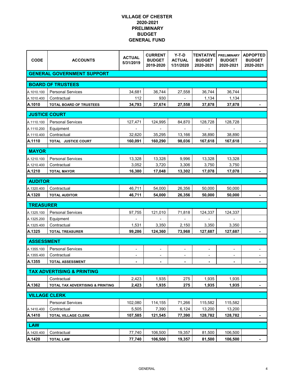| <b>CODE</b>          | <b>ACCOUNTS</b>                         | <b>ACTUAL</b><br>5/31/2019 | <b>CURRENT</b><br><b>BUDGET</b><br>2019-2020 | $Y-T-D$<br><b>ACTUAL</b><br>1/31/2020 | <b>TENTATIVE</b><br><b>BUDGET</b><br>2020-2021 | <b>PRELIMINARY</b><br><b>BUDGET</b><br>2020-2021 | <b>ADPOPTED</b><br><b>BUDGET</b><br>2020-2021 |
|----------------------|-----------------------------------------|----------------------------|----------------------------------------------|---------------------------------------|------------------------------------------------|--------------------------------------------------|-----------------------------------------------|
|                      | <b>GENERAL GOVERNMENT SUPPORT</b>       |                            |                                              |                                       |                                                |                                                  |                                               |
|                      | <b>BOARD OF TRUSTEES</b>                |                            |                                              |                                       |                                                |                                                  |                                               |
| A.1010.100           | <b>Personal Services</b>                | 34,681                     | 36,744                                       | 27,558                                | 36,744                                         | 36,744                                           |                                               |
| A.1010.400           | Contractual                             | 112                        | 930                                          |                                       | 1,134                                          | 1,134                                            |                                               |
| A.1010               | <b>TOTAL BOARD OF TRUSTEES</b>          | 34,793                     | 37,674                                       | 27,558                                | 37,878                                         | 37,878                                           |                                               |
|                      |                                         |                            |                                              |                                       |                                                |                                                  |                                               |
| <b>JUSTICE COURT</b> |                                         |                            |                                              |                                       |                                                |                                                  |                                               |
| A.1110.100           | <b>Personal Services</b>                | 127,471                    | 124,995                                      | 84,870                                | 128,728                                        | 128,728                                          |                                               |
| A.1110.200           | Equipment                               |                            |                                              |                                       |                                                |                                                  |                                               |
| A.1110.400<br>A.1110 | Contractual<br>TOTAL JUSTICE COURT      | 32,620<br>160,091          | 35,295<br>160,290                            | 13,166<br>98,036                      | 38,890<br>167,618                              | 38,890<br>167,618                                |                                               |
|                      |                                         |                            |                                              |                                       |                                                |                                                  |                                               |
| <b>MAYOR</b>         |                                         |                            |                                              |                                       |                                                |                                                  |                                               |
| A.1210.100           | <b>Personal Services</b>                | 13,328                     | 13,328                                       | 9,996                                 | 13,328                                         | 13,328                                           |                                               |
| A.1210.400           | Contractual                             | 3,052                      | 3,720                                        | 3,306                                 | 3,750                                          | 3,750                                            |                                               |
| A.1210               | <b>TOTAL MAYOR</b>                      | 16,380                     | 17,048                                       | 13,302                                | 17,078                                         | 17,078                                           | $\blacksquare$                                |
| <b>AUDITOR</b>       |                                         |                            |                                              |                                       |                                                |                                                  |                                               |
| A.1320.400           | Contractual                             | 46,711                     | 54,000                                       | 26,356                                | 50,000                                         | 50.000                                           |                                               |
| A.1320               | <b>TOTAL AUDITOR</b>                    | 46,711                     | 54,000                                       | 26,356                                | 50,000                                         | 50,000                                           |                                               |
| <b>TREASURER</b>     |                                         |                            |                                              |                                       |                                                |                                                  |                                               |
| A.1325.100           | <b>Personal Services</b>                |                            |                                              |                                       |                                                |                                                  |                                               |
| A.1325.200           |                                         | 97,755                     | 121,010                                      | 71,818                                | 124,337                                        | 124,337                                          |                                               |
| A.1325.400           | Equipment<br>Contractual                | 1,531                      | 3,350                                        | 2,150                                 | 3,350                                          | 3,350                                            |                                               |
| A.1325               | <b>TOTAL TREASURER</b>                  | 99,286                     | 124,360                                      | 73,968                                | 127,687                                        | 127,687                                          |                                               |
|                      |                                         |                            |                                              |                                       |                                                |                                                  |                                               |
| <b>ASSESSMENT</b>    |                                         |                            |                                              |                                       |                                                |                                                  |                                               |
| A.1355.100           | <b>Personal Services</b>                | $\overline{\phantom{a}}$   | $\overline{\phantom{m}}$                     | ۰                                     | $\overline{\phantom{0}}$                       | $\overline{\phantom{0}}$                         |                                               |
| A.1355.400           | Contractual                             | $\overline{\phantom{a}}$   | $\overline{\phantom{a}}$                     | $\overline{\phantom{a}}$              | $\overline{\phantom{a}}$                       | $\qquad \qquad \blacksquare$                     | $\overline{\phantom{a}}$                      |
| A.1355               | <b>TOTAL ASSESSMENT</b>                 | ٠                          | ۰                                            | ٠                                     |                                                |                                                  |                                               |
|                      | <b>TAX ADVERTISING &amp; PRINTING</b>   |                            |                                              |                                       |                                                |                                                  |                                               |
|                      | Contractual                             | 2,423                      | 1,935                                        | 275                                   | 1,935                                          | 1,935                                            |                                               |
| A.1362               | TOTAL TAX ADVERTISING & PRINTING        | 2,423                      | 1,935                                        | 275                                   | 1,935                                          | 1,935                                            |                                               |
| <b>VILLAGE CLERK</b> |                                         |                            |                                              |                                       |                                                |                                                  |                                               |
|                      |                                         |                            |                                              |                                       |                                                |                                                  |                                               |
|                      | <b>Personal Services</b><br>Contractual | 102,080<br>5,505           | 114,155<br>7,390                             | 71,266<br>6,124                       | 115,582<br>13,200                              | 115,582<br>13,200                                |                                               |
| A.1410.400<br>A.1410 | TOTAL VILLAGE CLERK                     | 107,585                    | 121,545                                      | 77,390                                | 128,782                                        | 128,782                                          |                                               |
|                      |                                         |                            |                                              |                                       |                                                |                                                  | ٠                                             |
| LAW                  |                                         |                            |                                              |                                       |                                                |                                                  |                                               |
| A.1420.400           | Contractual                             | 77,740                     | 106,500                                      | 19,357                                | 81,500                                         | 106,500                                          |                                               |
| A.1420               | <b>TOTAL LAW</b>                        | 77,740                     | 106,500                                      | 19,357                                | 81,500                                         | 106,500                                          |                                               |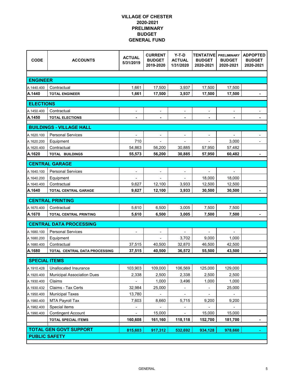| <b>CODE</b>              | <b>ACCOUNTS</b>                                         | <b>ACTUAL</b><br>5/31/2019 | <b>CURRENT</b><br><b>BUDGET</b><br>2019-2020 | $Y-T-D$<br><b>ACTUAL</b><br>1/31/2020 | <b>TENTATIVE</b><br><b>BUDGET</b><br>2020-2021 | <b>PRELIMINARY</b><br><b>BUDGET</b><br>2020-2021 | <b>ADPOPTED</b><br><b>BUDGET</b><br>2020-2021 |
|--------------------------|---------------------------------------------------------|----------------------------|----------------------------------------------|---------------------------------------|------------------------------------------------|--------------------------------------------------|-----------------------------------------------|
|                          |                                                         |                            |                                              |                                       |                                                |                                                  |                                               |
| <b>ENGINEER</b>          |                                                         |                            |                                              |                                       |                                                |                                                  |                                               |
| A.1440.400               | Contractual                                             | 1,661                      | 17,500                                       | 3,937                                 | 17,500                                         | 17,500                                           |                                               |
| A.1440                   | <b>TOTAL ENGINEER</b>                                   | 1,661                      | 17,500                                       | 3,937                                 | 17,500                                         | 17,500                                           | $\qquad \qquad \blacksquare$                  |
| <b>ELECTIONS</b>         |                                                         |                            |                                              |                                       |                                                |                                                  |                                               |
| A.1450.400               | Contractual                                             | $\overline{\phantom{a}}$   | $\overline{\phantom{a}}$                     | $\overline{\phantom{a}}$              | $\overline{\phantom{a}}$                       | $\overline{\phantom{a}}$                         | $\overline{\phantom{0}}$                      |
| A.1450                   | <b>TOTAL ELECTIONS</b>                                  |                            |                                              |                                       |                                                |                                                  |                                               |
|                          |                                                         |                            |                                              |                                       |                                                |                                                  |                                               |
|                          | <b>BUILDINGS - VILLAGE HALL</b>                         |                            |                                              |                                       |                                                |                                                  |                                               |
| A.1620.100               | <b>Personal Services</b>                                | $\blacksquare$             |                                              | -                                     |                                                |                                                  |                                               |
| A.1620.200               | Equipment                                               | 710                        |                                              |                                       |                                                | 3,000                                            |                                               |
| A.1620.400               | Contractual                                             | 54,863                     | 56,200                                       | 30,885                                | 57,950                                         | 57,482                                           |                                               |
| A.1620                   | <b>TOTAL BUILDINGS</b>                                  | 55,573                     | 56,200                                       | 30,885                                | 57,950                                         | 60,482                                           | -                                             |
|                          | <b>CENTRAL GARAGE</b>                                   |                            |                                              |                                       |                                                |                                                  |                                               |
| A.1640.100               | <b>Personal Services</b>                                | $\overline{\phantom{a}}$   | $\overline{\phantom{a}}$                     | $\overline{\phantom{a}}$              | ۰                                              | $\overline{\phantom{a}}$                         |                                               |
| A.1640.200               | Equipment                                               |                            |                                              |                                       | 18,000                                         | 18,000                                           |                                               |
| A.1640.400               | Contractual                                             | 9,627                      | 12,100                                       | 3,933                                 | 12,500                                         | 12,500                                           |                                               |
| A.1640                   | <b>TOTAL CENTRAL GARAGE</b>                             | 9,627                      | 12,100                                       | 3,933                                 | 30,500                                         | 30,500                                           |                                               |
|                          | <b>CENTRAL PRINTING</b>                                 |                            |                                              |                                       |                                                |                                                  |                                               |
| A.1670.400               | Contractual                                             | 5,610                      | 6,500                                        | 3,005                                 | 7,500                                          | 7,500                                            |                                               |
| A.1670                   | <b>TOTAL CENTRAL PRINTING</b>                           | 5,610                      | 6,500                                        | 3,005                                 | 7,500                                          | 7,500                                            |                                               |
|                          | <b>CENTRAL DATA PROCESSING</b>                          |                            |                                              |                                       |                                                |                                                  |                                               |
|                          |                                                         |                            |                                              |                                       |                                                |                                                  |                                               |
| A.1680.100               | <b>Personal Services</b>                                | $\overline{\phantom{a}}$   | $\overline{\phantom{a}}$                     |                                       |                                                |                                                  |                                               |
| A.1680.200<br>A.1680.400 | Equipment<br>Contractual                                | 37,515                     | 40,500                                       | 3,702<br>32,870                       | 9,000<br>46,500                                | 1,000<br>42,500                                  |                                               |
| A.1680                   | TOTAL CENTRAL DATA PROCESSING                           | 37,515                     | 40,500                                       | 36,572                                | 55,500                                         | 43,500                                           |                                               |
|                          |                                                         |                            |                                              |                                       |                                                |                                                  |                                               |
| <b>SPECIAL ITEMS</b>     |                                                         |                            |                                              |                                       |                                                |                                                  |                                               |
| A.1910.428               | Unallocated Insurance                                   | 103,903                    | 109,000                                      | 106,569                               | 125,000                                        | 129,000                                          |                                               |
| A.1920.400               | <b>Municipal Association Dues</b>                       | 2,338                      | 2,500                                        | 2,338                                 | 2,500                                          | 2,500                                            |                                               |
| A.1930.400               | Claims                                                  |                            | 1,000                                        | 3,496                                 | 1,000                                          | 1,000                                            |                                               |
| A.1930.432               | Claims - Tax Certs                                      | 32,984                     | 25,000                                       |                                       |                                                | 25,000                                           |                                               |
| A.1950.400               | <b>Municipal Taxes</b>                                  | 13,780                     |                                              |                                       |                                                |                                                  |                                               |
| A.1980.400               | <b>MTA Payroll Tax</b>                                  | 7,603                      | 8,660                                        | 5,715                                 | 9,200                                          | 9,200                                            |                                               |
| A.1982.400               | Special items                                           | -                          |                                              | -                                     | -                                              | -                                                |                                               |
| A.1990.400               | <b>Contingent Account</b><br><b>TOTAL SPECIAL ITEMS</b> | $\blacksquare$<br>160,608  | 15,000<br>161,160                            | $\overline{\phantom{0}}$<br>118,118   | 15,000<br>152,700                              | 15,000<br>181,700                                |                                               |
|                          |                                                         |                            |                                              |                                       |                                                |                                                  |                                               |
|                          |                                                         |                            |                                              |                                       |                                                |                                                  |                                               |
| <b>PUBLIC SAFETY</b>     | <b>TOTAL GEN GOVT SUPPORT</b>                           | 815,603                    | 917,312                                      | 532,692                               | 934,128                                        | 978,660                                          |                                               |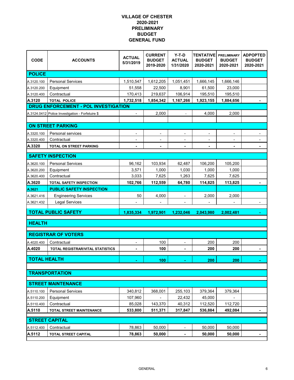| <b>CODE</b>         | <b>ACCOUNTS</b>                                  | <b>ACTUAL</b><br>5/31/2019 | <b>CURRENT</b><br><b>BUDGET</b><br>2019-2020 | $Y-T-D$<br><b>ACTUAL</b><br>1/31/2020 | <b>TENTATIVE</b><br><b>BUDGET</b><br>2020-2021 | <b>PRELIMINARY</b><br><b>BUDGET</b><br>2020-2021 | <b>ADPOPTED</b><br><b>BUDGET</b><br>2020-2021 |
|---------------------|--------------------------------------------------|----------------------------|----------------------------------------------|---------------------------------------|------------------------------------------------|--------------------------------------------------|-----------------------------------------------|
| <b>POLICE</b>       |                                                  |                            |                                              |                                       |                                                |                                                  |                                               |
| A.3120.100          | <b>Personal Services</b>                         | 1,510,547                  | 1,612,205                                    | 1,051,451                             | 1,666,145                                      | 1,666,146                                        |                                               |
| A.3120.200          | Equipment                                        | 51,558                     | 22,500                                       | 8,901                                 | 61,500                                         | 23,000                                           |                                               |
| A.3120.400          | Contractual                                      | 170,413                    | 219,637                                      | 106,914                               | 195,510                                        | 195,510                                          |                                               |
| A.3120              | <b>TOTAL POLICE</b>                              | 1,732,518                  | 1,854,342                                    | 1,167,266                             | 1,923,155                                      | 1,884,656                                        |                                               |
|                     | <b>DRUG ENFORCEMENT - POL INVESTIGATION</b>      |                            |                                              |                                       |                                                |                                                  |                                               |
|                     | A.3124.0412 Police Investigation - Forfetuire \$ | $\overline{\phantom{a}}$   | 2,000                                        | $\blacksquare$                        | 4,000                                          | 2,000                                            |                                               |
|                     |                                                  |                            |                                              |                                       |                                                |                                                  |                                               |
|                     | <b>ON STREET PARKING</b>                         |                            |                                              |                                       |                                                |                                                  |                                               |
| A.3320.100          | Personal services                                | $\overline{\phantom{a}}$   | $\overline{\phantom{a}}$                     | -                                     |                                                |                                                  |                                               |
| A.3320.400          | Contractual                                      |                            |                                              |                                       |                                                |                                                  |                                               |
| A.3320              | <b>TOTAL ON STREET PARKING</b>                   | $\blacksquare$             | $\blacksquare$                               | $\blacksquare$                        |                                                |                                                  | $\blacksquare$                                |
|                     | <b>SAFETY INSPECTION</b>                         |                            |                                              |                                       |                                                |                                                  |                                               |
| A.3620.100          | <b>Personal Services</b>                         | 96,162                     | 103,934                                      | 62,487                                | 106,200                                        | 105,200                                          |                                               |
| A.3620.200          | Equipment                                        | 3,571                      | 1,000                                        | 1,030                                 | 1,000                                          | 1,000                                            |                                               |
| A.3620.400          | Contractual                                      | 3,033                      | 7,625                                        | 1,263                                 | 7,625                                          | 7,625                                            |                                               |
| A.3620              | <b>TOTAL SAFETY INSPECTION</b>                   | 102,766                    | 112,559                                      | 64,780                                | 114,825                                        | 113,825                                          |                                               |
| A.3621              | <b>PUBLIC SAFETY INSPECTION</b>                  |                            |                                              |                                       |                                                |                                                  |                                               |
| A.3621.416          | <b>Engineering Services</b>                      | 50                         | 4,000                                        | $\overline{\phantom{a}}$              | 2,000                                          | 2,000                                            |                                               |
| A.3621.432          | <b>Legal Services</b>                            |                            |                                              |                                       |                                                |                                                  |                                               |
|                     |                                                  |                            |                                              |                                       |                                                |                                                  |                                               |
|                     | <b>TOTAL PUBLIC SAFETY</b>                       | 1,835,334                  | 1,972,901                                    | 1,232,046                             | 2,043,980                                      | 2,002,481                                        |                                               |
| <b>HEALTH</b>       |                                                  |                            |                                              |                                       |                                                |                                                  |                                               |
|                     |                                                  |                            |                                              |                                       |                                                |                                                  |                                               |
|                     | <b>REGISTRAR OF VOTERS</b>                       |                            |                                              |                                       |                                                |                                                  |                                               |
| A.4020.400          | Contractual                                      | $\overline{\phantom{a}}$   | 100                                          | $\overline{\phantom{a}}$              | 200                                            | 200                                              |                                               |
| A.4020              | TOTAL REGISTRAR/VITAL STATISTICS                 |                            | 100                                          |                                       | 200                                            | 200                                              |                                               |
| <b>TOTAL HEALTH</b> |                                                  |                            | 100                                          |                                       | 200                                            | 200                                              |                                               |
|                     |                                                  |                            |                                              |                                       |                                                |                                                  |                                               |
|                     | <b>TRANSPORTATION</b>                            |                            |                                              |                                       |                                                |                                                  |                                               |
|                     | <b>STREET MAINTENANCE</b>                        |                            |                                              |                                       |                                                |                                                  |                                               |
| A.5110.100          | <b>Personal Services</b>                         | 340,812                    | 368,001                                      | 255,103                               | 379,364                                        | 379,364                                          |                                               |
| A.5110.200          | Equipment                                        | 107,960                    |                                              | 22,432                                | 45,000                                         |                                                  |                                               |
| A.5110.400          | Contractual                                      | 85,028                     | 143,370                                      | 40,312                                | 112,520                                        | 112,720                                          |                                               |
| A.5110              | <b>TOTAL STREET MAINTENANCE</b>                  | 533,800                    | 511,371                                      | 317,847                               | 536,884                                        | 492,084                                          |                                               |
|                     |                                                  |                            |                                              |                                       |                                                |                                                  |                                               |
|                     | <b>STREET CAPITAL</b>                            |                            |                                              |                                       |                                                |                                                  |                                               |
| A.5112.400          | Contractual                                      | 78,863                     | 50,000                                       | $\overline{\phantom{a}}$              | 50,000                                         | 50,000                                           |                                               |
| A.5112              | TOTAL STREET CAPITAL                             | 78,863                     | 50,000                                       | $\blacksquare$                        | 50,000                                         | 50,000                                           |                                               |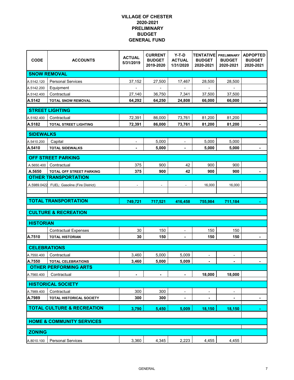| <b>CODE</b>         | <b>ACCOUNTS</b>                       | <b>ACTUAL</b><br>5/31/2019 | <b>CURRENT</b><br><b>BUDGET</b><br>2019-2020 | $Y-T-D$<br><b>ACTUAL</b><br>1/31/2020 | <b>TENTATIVE</b><br><b>BUDGET</b><br>2020-2021 | <b>PRELIMINARY</b><br><b>BUDGET</b><br>2020-2021 | <b>ADPOPTED</b><br><b>BUDGET</b><br>2020-2021 |
|---------------------|---------------------------------------|----------------------------|----------------------------------------------|---------------------------------------|------------------------------------------------|--------------------------------------------------|-----------------------------------------------|
|                     | <b>SNOW REMOVAL</b>                   |                            |                                              |                                       |                                                |                                                  |                                               |
| A.5142.120          | <b>Personal Services</b>              | 37,152                     | 27,500                                       | 17,467                                | 28,500                                         | 28,500                                           |                                               |
| A.5142.200          | Equipment                             |                            |                                              |                                       |                                                |                                                  |                                               |
| A.5142.400          | Contractual                           | 27,140                     | 36,750                                       | 7,341                                 | 37,500                                         | 37,500                                           |                                               |
| A.5142              | <b>TOTAL SNOW REMOVAL</b>             | 64,292                     | 64,250                                       | 24,808                                | 66,000                                         | 66,000                                           |                                               |
|                     | <b>STREET LIGHTING</b>                |                            |                                              |                                       |                                                |                                                  |                                               |
| A.5182.400          | Contractual                           | 72,391                     | 86,000                                       | 73,761                                | 81,200                                         | 81,200                                           |                                               |
| A.5182              | TOTAL STREET LIGHTING                 | 72,391                     | 86,000                                       | 73,761                                | 81,200                                         | 81,200                                           |                                               |
|                     |                                       |                            |                                              |                                       |                                                |                                                  |                                               |
| <b>SIDEWALKS</b>    |                                       |                            |                                              |                                       |                                                |                                                  |                                               |
| A.5410.200          | Capital                               | $\overline{\phantom{a}}$   | 5,000                                        | $\overline{a}$                        | 5,000                                          | 5,000                                            |                                               |
| A.5410              | <b>TOTAL SIDEWALKS</b>                | $\blacksquare$             | 5,000                                        |                                       | 5,000                                          | 5,000                                            |                                               |
|                     | <b>OFF STREET PARKING</b>             |                            |                                              |                                       |                                                |                                                  |                                               |
| A.5650.400          | Contractual                           | 375                        | 900                                          | 42                                    | 900                                            | 900                                              |                                               |
| A.5650              | TOTAL OFF STREET PARKING              | 375                        | 900                                          | 42                                    | 900                                            | 900                                              | $\blacksquare$                                |
|                     | <b>OTHER TRANSPORTATION</b>           |                            |                                              |                                       |                                                |                                                  |                                               |
| A.5989.0422         | FUEL: Gasoline (Fire District)        | $\overline{\phantom{a}}$   | $\overline{\phantom{a}}$                     | $\overline{\phantom{a}}$              | 16,000                                         | 16,000                                           |                                               |
|                     |                                       |                            |                                              |                                       |                                                |                                                  |                                               |
|                     |                                       |                            |                                              |                                       |                                                |                                                  |                                               |
|                     |                                       |                            |                                              |                                       |                                                |                                                  |                                               |
|                     | <b>TOTAL TRANSPORTATION</b>           | 749,721                    | 717,521                                      | 416,458                               | 755,984                                        | 711,184                                          |                                               |
|                     | <b>CULTURE &amp; RECREATION</b>       |                            |                                              |                                       |                                                |                                                  |                                               |
|                     |                                       |                            |                                              |                                       |                                                |                                                  |                                               |
| <b>HISTORIAN</b>    |                                       |                            |                                              |                                       |                                                |                                                  |                                               |
|                     | <b>Contractual Expenses</b>           | 30                         | 150                                          |                                       | 150                                            | 150                                              |                                               |
| A.7510              | <b>TOTAL HISTORIAN</b>                | 30                         | 150                                          |                                       | 150                                            | 150                                              |                                               |
| <b>CELEBRATIONS</b> |                                       |                            |                                              |                                       |                                                |                                                  |                                               |
| A.7550.400          | Contractual                           | 3,460                      | 5,000                                        | 5,009                                 | $\overline{\phantom{a}}$                       |                                                  |                                               |
| A.7550              | <b>TOTAL CELEBRATIONS</b>             | 3,460                      | 5,000                                        | 5,009                                 | $\blacksquare$                                 |                                                  |                                               |
|                     | <b>OTHER PERFORMING ARTS</b>          |                            |                                              |                                       |                                                |                                                  |                                               |
| A.7560.400          | Contractual                           |                            |                                              |                                       | 18,000                                         | 18,000                                           |                                               |
|                     | <b>HISTORICAL SOCIETY</b>             |                            |                                              |                                       |                                                |                                                  |                                               |
| A.7989.400          | Contractual                           | 300                        | 300                                          | ٠                                     |                                                |                                                  |                                               |
| A.7989              | TOTAL HISTORICAL SOCIETY              | 300                        | 300                                          | ٠                                     | $\blacksquare$                                 | ۰                                                | ۰                                             |
|                     |                                       |                            |                                              |                                       |                                                |                                                  |                                               |
|                     | <b>TOTAL CULTURE &amp; RECREATION</b> | 3,790                      | 5.450                                        | 5,009                                 | 18,150                                         | 18,150                                           |                                               |
|                     |                                       |                            |                                              |                                       |                                                |                                                  |                                               |
|                     | <b>HOME &amp; COMMUNITY SERVICES</b>  |                            |                                              |                                       |                                                |                                                  |                                               |
| <b>ZONING</b>       |                                       |                            |                                              |                                       |                                                |                                                  |                                               |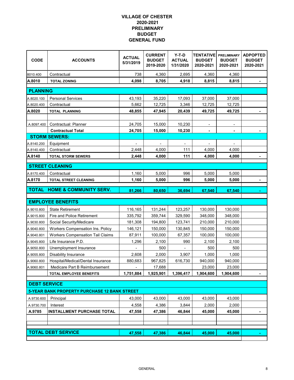| <b>CODE</b>              | <b>ACCOUNTS</b>                                                             | <b>ACTUAL</b><br>5/31/2019 | <b>CURRENT</b><br><b>BUDGET</b><br>2019-2020 | $Y-T-D$<br><b>ACTUAL</b><br>1/31/2020 | <b>TENTATIVE</b><br><b>BUDGET</b><br>2020-2021 | <b>PRELIMINARY</b><br><b>BUDGET</b><br>2020-2021 | <b>ADPOPTED</b><br><b>BUDGET</b><br>2020-2021 |
|--------------------------|-----------------------------------------------------------------------------|----------------------------|----------------------------------------------|---------------------------------------|------------------------------------------------|--------------------------------------------------|-----------------------------------------------|
| 8010.400                 | Contractual                                                                 | 738                        | 4,360                                        | 2,695                                 | 4,360                                          | 4,360                                            |                                               |
| A.8010                   | <b>TOTAL ZONING</b>                                                         | 4,098                      | 8,705                                        | 4,918                                 | 8,815                                          | 8,815                                            |                                               |
| <b>PLANNING</b>          |                                                                             |                            |                                              |                                       |                                                |                                                  |                                               |
| A.8020.100               | <b>Personal Services</b>                                                    | 43,193                     | 35,220                                       | 17,093                                | 37,000                                         | 37,000                                           |                                               |
| A.8020.400               | Contractual                                                                 | 5,662                      | 12,725                                       | 3,346                                 | 12,725                                         | 12,725                                           |                                               |
| A.8020                   | <b>TOTAL PLANNING</b>                                                       | 48,855                     | 47,945                                       | 20,439                                | 49,725                                         | 49,725                                           |                                               |
|                          |                                                                             |                            |                                              |                                       |                                                |                                                  |                                               |
| A.8097.400               | Contractual: Planner                                                        | 24,705                     | 15,000                                       | 10,230                                |                                                |                                                  |                                               |
|                          | <b>Contractual Total</b>                                                    | 24,705                     | 15,000                                       | 10,230                                | $\blacksquare$                                 |                                                  |                                               |
|                          | <b>STORM SEWERS:</b>                                                        |                            |                                              |                                       |                                                |                                                  |                                               |
| A.8140.200               | Equipment                                                                   | $\overline{\phantom{a}}$   | $\overline{\phantom{a}}$                     | $\blacksquare$                        | $\overline{\phantom{a}}$                       | $\overline{\phantom{a}}$                         |                                               |
| A.8140.400               | Contractual                                                                 | 2,448                      | 4,000                                        | 111                                   | 4,000                                          | 4,000                                            |                                               |
| A.8140                   | <b>TOTAL STORM SEWERS</b>                                                   | 2,448                      | 4,000                                        | 111                                   | 4,000                                          | 4,000                                            |                                               |
|                          | <b>STREET CLEANING</b>                                                      |                            |                                              |                                       |                                                |                                                  |                                               |
| A.8170.400               | Contractual                                                                 | 1,160                      | 5,000                                        | 996                                   | 5,000                                          | 5,000                                            |                                               |
| A.8170                   | TOTAL STREET CLEANING                                                       | 1,160                      | 5,000                                        | 996                                   | 5,000                                          | 5,000                                            |                                               |
|                          |                                                                             |                            |                                              |                                       |                                                |                                                  |                                               |
| <b>TOTAL</b>             | <b>HOME &amp; COMMUNITY SERV.</b>                                           | 81,266                     | 80,650                                       | 36,694                                | 67,540                                         | 67,540                                           |                                               |
|                          | <b>EMPLOYEE BENEFITS</b>                                                    |                            |                                              |                                       |                                                |                                                  |                                               |
|                          |                                                                             |                            |                                              |                                       |                                                |                                                  |                                               |
| A.9010.800               | <b>State Retirement</b>                                                     | 116,165                    | 131,244                                      | 123,257                               | 130,000                                        | 130,000                                          |                                               |
| A.9015.800               | Fire and Police Retirement                                                  | 335,792                    | 359,744                                      | 329,590                               | 348,000                                        | 348,000                                          |                                               |
| A.9030.800               | Social Security/Medicare                                                    | 181,308                    | 194,800                                      | 123,741                               | 210,000                                        | 210,000                                          |                                               |
| A.9040.800               | Workers Compensation Ins. Policy<br><b>Workers Compensation Tail Claims</b> | 146,121                    | 150,000                                      | 130,845                               | 150,000                                        | 150,000                                          |                                               |
| A.9040.801<br>A.9045.800 | Life Insurance P.D.                                                         | 87,911<br>1,296            | 100,000<br>2,100                             | 67,357<br>990                         | 100,000<br>2,100                               | 100,000<br>2,100                                 |                                               |
|                          | Unemployment Insurance                                                      |                            | 500                                          |                                       | 500                                            | 500                                              |                                               |
| A.9050.800<br>A.9055.800 | <b>Disability Insurance</b>                                                 | 2,608                      | 2,000                                        | 3,907                                 | 1,000                                          | 1,000                                            |                                               |
| A.9060.800               | Hospital/Medical/Dental Insurance                                           | 880.683                    | 967,825                                      | 616,730                               | 940,000                                        | 940,000                                          |                                               |
| A.9060.801               | Medicare Part B Reimbursement                                               | $\overline{\phantom{a}}$   | 17,688                                       |                                       | 23,000                                         | 23,000                                           |                                               |
|                          | <b>TOTAL EMPLOYEE BENEFITS</b>                                              | 1,751,884                  | 1,925,901                                    | 1,396,417                             | 1,904,600                                      | 1,904,600                                        |                                               |
|                          |                                                                             |                            |                                              |                                       |                                                |                                                  |                                               |
| <b>DEBT SERVICE</b>      |                                                                             |                            |                                              |                                       |                                                |                                                  |                                               |
|                          | 5-YEAR BANK PROPERTY PURCHASE 12 BANK STREET                                |                            |                                              |                                       |                                                |                                                  |                                               |
| A.9730.600               | Principal                                                                   | 43,000                     | 43,000                                       | 43,000                                | 43,000                                         | 43,000                                           |                                               |
| A.9730.700               | Interest                                                                    | 4,558                      | 4,386                                        | 3,844                                 | 2,000                                          | 2,000                                            |                                               |
| A.9785                   | <b>INSTALLMENT PURCHASE TOTAL</b>                                           | 47,558                     | 47,386                                       | 46,844                                | 45,000                                         | 45,000                                           |                                               |
|                          |                                                                             |                            |                                              |                                       |                                                |                                                  |                                               |
|                          |                                                                             |                            |                                              |                                       |                                                |                                                  |                                               |
|                          | <b>TOTAL DEBT SERVICE</b>                                                   | 47,558                     | 47,386                                       | 46,844                                | 45,000                                         | 45,000                                           |                                               |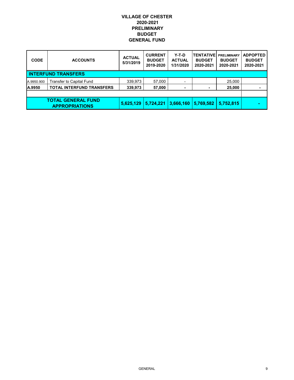| <b>CODE</b> | <b>ACCOUNTS</b>                                    | <b>ACTUAL</b><br>5/31/2019 | <b>CURRENT</b><br><b>BUDGET</b><br>2019-2020 | Y-T-D<br><b>ACTUAL</b><br>1/31/2020 | <b>TENTATIVE</b><br><b>BUDGET</b><br>2020-2021 | <b>PRELIMINARY</b><br><b>BUDGET</b><br>2020-2021 | <b>ADPOPTED</b><br><b>BUDGET</b><br>2020-2021 |
|-------------|----------------------------------------------------|----------------------------|----------------------------------------------|-------------------------------------|------------------------------------------------|--------------------------------------------------|-----------------------------------------------|
|             | <b>INTERFUND TRANSFERS</b>                         |                            |                                              |                                     |                                                |                                                  |                                               |
| A.9950.900  | <b>Transfer to Capital Fund</b>                    | 339,973                    | 57,000                                       |                                     |                                                | 25,000                                           |                                               |
| A.9950      | <b>TOTAL INTERFUND TRANSFERS</b>                   | 339,973                    | 57,000                                       |                                     |                                                | 25,000                                           |                                               |
|             |                                                    |                            |                                              |                                     |                                                |                                                  |                                               |
|             | <b>TOTAL GENERAL FUND</b><br><b>APPROPRIATIONS</b> | 5,625,129                  | 5,724,221                                    | 3,666,160                           | 5.769.582                                      | 5.752.815                                        |                                               |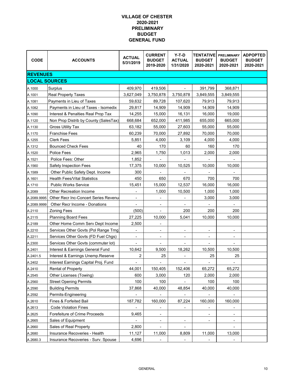| <b>CODE</b>          | <b>ACCOUNTS</b>                       | <b>ACTUAL</b><br>5/31/2019 | <b>CURRENT</b><br><b>BUDGET</b><br>2019-2020 | $Y-T-D$<br><b>ACTUAL</b><br>1/31/2020 | <b>TENTATIVE</b><br><b>BUDGET</b><br>2020-2021 | <b>PRELIMINARY</b><br><b>BUDGET</b><br>2020-2021 | <b>ADPOPTED</b><br><b>BUDGET</b><br>2020-2021 |
|----------------------|---------------------------------------|----------------------------|----------------------------------------------|---------------------------------------|------------------------------------------------|--------------------------------------------------|-----------------------------------------------|
| <b>REVENUES</b>      |                                       |                            |                                              |                                       |                                                |                                                  |                                               |
| <b>LOCAL SOURCES</b> |                                       |                            |                                              |                                       |                                                |                                                  |                                               |
| A.1000               | Surplus                               | 409,970                    | 419,506                                      |                                       | 391,799                                        | 368,871                                          |                                               |
| A.1001               | <b>Real Property Taxes</b>            | 3,627,049                  | 3,750,878                                    | 3,750,878                             | 3,849,555                                      | 3,849,555                                        |                                               |
| A.1081               | Payments in Lieu of Taxes             | 59,632                     | 89,728                                       | 107,620                               | 79,913                                         | 79,913                                           |                                               |
| A.1082               | Payments in Lieu of Taxes - Isomedix  | 29,817                     | 14,909                                       | 14,909                                | 14,909                                         | 14,909                                           |                                               |
| A.1090               | Interest & Penalties Real Prop Tax    | 14,255                     | 15,000                                       | 16,131                                | 16,000                                         | 19,000                                           |                                               |
| A.1120               | Non Prop Distrib by County (SalesTax) | 668,684                    | 652,000                                      | 411,985                               | 655,000                                        | 665,000                                          |                                               |
| A.1130               | <b>Gross Utility Tax</b>              | 63,182                     | 55,000                                       | 27,603                                | 55,000                                         | 55,000                                           |                                               |
| A.1170               | <b>Franchise Fees</b>                 | 60,239                     | 70,000                                       | 27,892                                | 70,000                                         | 70,000                                           |                                               |
| A.1255               | <b>Clerk Fees</b>                     | 5,851                      | 4,000                                        | 3,109                                 | 4,000                                          | 4,000                                            |                                               |
| A.1312               | <b>Bounced Check Fees</b>             | 40                         | 170                                          | 60                                    | 160                                            | 170                                              |                                               |
| A.1520               | Police Fees                           | 2,965                      | 1,750                                        | 1,013                                 | 2,000                                          | 2,000                                            |                                               |
| A.1521               | Police Fees: Other                    | 1,852                      |                                              |                                       |                                                |                                                  |                                               |
| A.1560               | Safety Inspection Fees                | 17,375                     | 10,000                                       | 10,525                                | 10,000                                         | 10,000                                           |                                               |
| A.1589               | Other Public Safety Dept. Income      | 300                        |                                              |                                       |                                                |                                                  |                                               |
| A.1601               | <b>Health Fees/Vital Statistics</b>   | 450                        | 650                                          | 670                                   | 700                                            | 700                                              |                                               |
| A.1710               | <b>Public Works Service</b>           | 15,451                     | 15,000                                       | 12,537                                | 16,000                                         | 16,000                                           |                                               |
| A.2089               | Other Recreation Income               |                            | 1,000                                        | 10,500                                | 1,000                                          | 1,000                                            |                                               |
| A.2089.9995          | Other Recr Inc-Concert Series Revenu  | $\overline{\phantom{a}}$   | $\overline{\phantom{a}}$                     | ۰                                     | 3,000                                          | 3,000                                            |                                               |
| A.2089.9999          | Other Recr Income - Donations         |                            |                                              |                                       |                                                |                                                  |                                               |
| A.2110               | <b>Zoning Fees</b>                    | (500)                      |                                              | 200                                   | 200                                            | 200                                              |                                               |
| A.2115               | <b>Planning Board Fees</b>            | 27,225                     | 10,000                                       | 5,041                                 | 10,000                                         | 10,000                                           |                                               |
| A.2189               | Other Home Comm Serv Dept Income      | 2,500                      | $\overline{\phantom{a}}$                     |                                       |                                                |                                                  |                                               |
| A.2210               | Services Other Govts (Pol Range Trng) |                            | $\overline{\phantom{a}}$                     | $\overline{\phantom{a}}$              | $\overline{\phantom{0}}$                       | -                                                |                                               |
| A.2211               | Services Other Govts (FD Fuel Chgs)   | $\overline{\phantom{a}}$   | ٠                                            | ۰                                     | $\overline{\phantom{a}}$                       | ٠                                                |                                               |
| A.2300               | Services Other Govts (commuter lot)   |                            |                                              |                                       |                                                |                                                  |                                               |
| A.2401               | Interest & Earnings General Fund      | 10,642                     | 9,500                                        | 18,262                                | 10,500                                         | 10,500                                           |                                               |
| A.2401.5             | Interest & Earnings Unemp.Reserve     | 2                          | 25                                           | $\overline{\phantom{a}}$              | 25                                             | 25                                               |                                               |
| A.2402               | Interest Earnings Capital Proj. Fund  |                            |                                              |                                       |                                                |                                                  |                                               |
| A.2410               | Rental of Property                    | 44,001                     | 150,405                                      | 152,406                               | 65,272                                         | 65,272                                           |                                               |
| A.2545               | Other Licenses (Towing)               | 600                        | 3,000                                        | 120                                   | 2,000                                          | 2,000                                            |                                               |
| A.2560               | <b>Street Opening Permits</b>         | 100                        | 100                                          |                                       | 100                                            | 100                                              |                                               |
| A.2590               | <b>Building Permits</b>               | 37,868                     | 40,000                                       | 48,854                                | 40,000                                         | 40,000                                           |                                               |
| A.2592               | Permits-Engineering                   |                            |                                              |                                       |                                                |                                                  |                                               |
| A.2610               | Fines & Forfeited Bail                | 187,782                    | 160,000                                      | 87,224                                | 160,000                                        | 160,000                                          |                                               |
| A.2613               | <b>Code Violation Fines</b>           | $\overline{\phantom{a}}$   | $\overline{\phantom{a}}$                     | $\overline{\phantom{a}}$              | $\overline{\phantom{0}}$                       | ٠                                                |                                               |
| A.2625               | Forefeiture of Crime Proceeds         | 9,465                      | ۰                                            |                                       |                                                |                                                  |                                               |
| A.2665               | Sales of Equipment                    |                            | $\overline{\phantom{a}}$                     | $\overline{\phantom{a}}$              |                                                | ٠                                                |                                               |
| A.2660               | Sales of Real Property                | 2,800                      |                                              |                                       |                                                |                                                  |                                               |
| A.2680               | Insurance Recoveries - Health         | 11,127                     | 11,000                                       | 8,809                                 | 11,000                                         | 13,000                                           |                                               |
| A.2680.3             | Insurance Recoveries - Surv. Spouse   | 4,696                      |                                              |                                       |                                                |                                                  |                                               |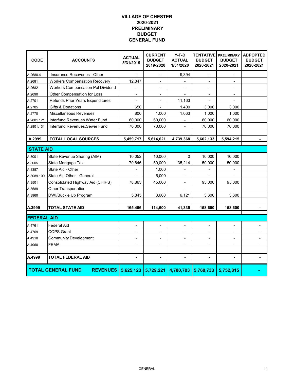| <b>CODE</b>        | <b>ACCOUNTS</b>                              | <b>ACTUAL</b><br>5/31/2019   | <b>CURRENT</b><br><b>BUDGET</b><br>2019-2020 | $Y-T-D$<br><b>ACTUAL</b><br>1/31/2020 | <b>TENTATIVE</b><br><b>BUDGET</b><br>2020-2021 | <b>PRELIMINARY</b><br><b>BUDGET</b><br>2020-2021 | <b>ADPOPTED</b><br><b>BUDGET</b><br>2020-2021 |
|--------------------|----------------------------------------------|------------------------------|----------------------------------------------|---------------------------------------|------------------------------------------------|--------------------------------------------------|-----------------------------------------------|
| A.2680.4           | Insurance Recoveries - Other                 | $\overline{\phantom{a}}$     | $\overline{\phantom{a}}$                     | 9,394                                 | $\qquad \qquad \blacksquare$                   | $\blacksquare$                                   |                                               |
| A.2681             | <b>Workers Compensation Recovery</b>         | 12,847                       | $\overline{\phantom{a}}$                     |                                       | $\overline{\phantom{0}}$                       |                                                  |                                               |
| A.2682             | <b>Workers Compensation Pol Dividend</b>     |                              | $\blacksquare$                               | ÷,                                    | ÷,                                             | ÷,                                               |                                               |
| A.2690             | Other Compensation for Loss                  |                              |                                              |                                       |                                                |                                                  |                                               |
| A.2701             | Refunds Prior Years Expenditures             | $\blacksquare$               | $\overline{\phantom{a}}$                     | 11,163                                |                                                |                                                  |                                               |
| A.2705             | Gifts & Donations                            | 650                          |                                              | 1,400                                 | 3,000                                          | 3,000                                            |                                               |
| A.2770             | Miscellaneous Revenues                       | 800                          | 1,000                                        | 1,063                                 | 1,000                                          | 1,000                                            |                                               |
| A.2801.121         | Interfund Revenues. Water Fund               | 60,000                       | 60,000                                       |                                       | 60,000                                         | 60,000                                           |                                               |
| A.2801.131         | Interfund Revenues.Sewer Fund                | 70,000                       | 70,000                                       | $\overline{\phantom{0}}$              | 70,000                                         | 70,000                                           |                                               |
| A.2999             | <b>TOTAL LOCAL SOURCES</b>                   | 5,459,717                    | 5,614,621                                    | 4,739,368                             | 5,602,133                                      | 5,594,215                                        |                                               |
|                    |                                              |                              |                                              |                                       |                                                |                                                  |                                               |
| <b>STATE AID</b>   |                                              |                              |                                              |                                       |                                                |                                                  |                                               |
| A.3001             | State Revenue Sharing (AIM)                  | 10,052                       | 10,000                                       | 0                                     | 10,000                                         | 10,000                                           |                                               |
| A.3005             | State Mortgage Tax                           | 70,646                       | 50,000                                       | 35,214                                | 50,000                                         | 50,000                                           |                                               |
| A.3387             | State Aid - Other                            |                              | 1,000                                        | $\overline{\phantom{0}}$              |                                                | ٠                                                |                                               |
| A.3089.100         | State Aid Other - General                    | $\blacksquare$               | 5,000                                        | $\blacksquare$                        | -                                              |                                                  |                                               |
| A.3501             | Consolidated Highway Aid (CHIPS)             | 78,863                       | 45,000                                       | $\overline{\phantom{0}}$              | 95,000                                         | 95,000                                           |                                               |
| A.3589             | Other Transportation                         |                              |                                              |                                       |                                                |                                                  |                                               |
| A.3960             | DWI/Buckle Up Program                        | 5,845                        | 3,600                                        | 6,121                                 | 3,600                                          | 3,600                                            |                                               |
| A.3999             | <b>TOTAL STATE AID</b>                       | 165,406                      | 114,600                                      | 41,335                                | 158,600                                        | 158,600                                          |                                               |
| <b>FEDERAL AID</b> |                                              |                              |                                              |                                       |                                                |                                                  |                                               |
| A.4761             | <b>Federal Aid</b>                           | $\blacksquare$               |                                              | -                                     |                                                |                                                  |                                               |
| A.4769             | <b>COPS Grant</b>                            | $\blacksquare$               | $\blacksquare$                               | ۰                                     | ۰                                              | ٠                                                |                                               |
| A.4910             | <b>Community Development</b>                 | L,                           | ÷,                                           | ÷.                                    |                                                | Ĭ.                                               |                                               |
| A.4960             | <b>FEMA</b>                                  | $\qquad \qquad \blacksquare$ | $\blacksquare$                               | ÷,                                    | ÷,                                             | ÷,                                               |                                               |
|                    |                                              |                              |                                              |                                       |                                                |                                                  |                                               |
| A.4999             | <b>TOTAL FEDERAL AID</b>                     | $\blacksquare$               | $\blacksquare$                               | $\blacksquare$                        |                                                | ä,                                               | ä,                                            |
|                    | <b>TOTAL GENERAL FUND</b><br><b>REVENUES</b> | 5,625,123                    |                                              | $5,729,221$   4,780,703               | 5,760,733                                      | 5,752,815                                        |                                               |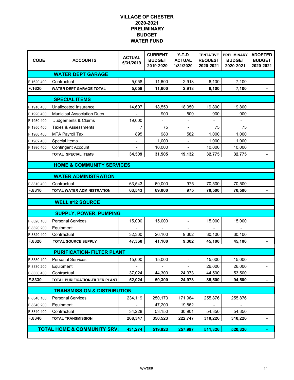| <b>CODE</b> | <b>ACCOUNTS</b>                        | <b>ACTUAL</b><br>5/31/2019 | <b>CURRENT</b><br><b>BUDGET</b><br>2019-2020 | $Y-T-D$<br><b>ACTUAL</b><br>1/31/2020 | <b>TENTATIVE</b><br><b>REQUEST</b><br>2020-2021 | <b>PRELIMINARY</b><br><b>BUDGET</b><br>2020-2021 | <b>ADOPTED</b><br><b>BUDGET</b><br>2020-2021 |
|-------------|----------------------------------------|----------------------------|----------------------------------------------|---------------------------------------|-------------------------------------------------|--------------------------------------------------|----------------------------------------------|
|             | <b>WATER DEPT GARAGE</b>               |                            |                                              |                                       |                                                 |                                                  |                                              |
| F.1620.400  | Contractual                            | 5,058                      | 11,600                                       | 2,918                                 | 6,100                                           | 7,100                                            |                                              |
| F.1620      | <b>WATER DEPT GARAGE TOTAL</b>         | 5,058                      | 11,600                                       | 2,918                                 | 6,100                                           | 7,100                                            |                                              |
|             | <b>SPECIAL ITEMS</b>                   |                            |                                              |                                       |                                                 |                                                  |                                              |
| F.1910.400  | Unallocated Insurance                  | 14,607                     | 18,550                                       | 18,050                                | 19,800                                          | 19,800                                           |                                              |
| F.1920.400  | <b>Municipal Association Dues</b>      |                            | 900                                          | 500                                   | 900                                             | 900                                              |                                              |
| F.1930.400  | Judgements & Claims                    | 19,000                     |                                              |                                       |                                                 |                                                  |                                              |
| F.1950.400  | Taxes & Assessments                    | 7                          | 75                                           |                                       | 75                                              | 75                                               |                                              |
| F.1980.400  | <b>MTA Payroll Tax</b>                 | 895                        | 980                                          | 582                                   | 1,000                                           | 1,000                                            |                                              |
| F.1982.400  | Special Items                          | $\overline{\phantom{a}}$   | 1,000                                        |                                       | 1,000                                           | 1,000                                            |                                              |
| F.1990.400  | <b>Contingent Account</b>              |                            | 10,000                                       |                                       | 10,000                                          | 10,000                                           |                                              |
|             | <b>TOTAL SPECIAL ITEMS</b>             | 34,509                     | 31,505                                       | 19,132                                | 32,775                                          | 32,775                                           |                                              |
|             | <b>HOME &amp; COMMUNITY SERVICES</b>   |                            |                                              |                                       |                                                 |                                                  |                                              |
|             |                                        |                            |                                              |                                       |                                                 |                                                  |                                              |
|             | <b>WATER ADMINISTRATION</b>            |                            |                                              |                                       |                                                 |                                                  |                                              |
| F.8310.400  | Contractual                            | 63,543                     | 69,000                                       | 975                                   | 70,500                                          | 70,500                                           |                                              |
| F.8310      | TOTAL WATER ADMINISTRATION             | 63,543                     | 69,000                                       | 975                                   | 70,500                                          | 70,500                                           |                                              |
|             |                                        |                            |                                              |                                       |                                                 |                                                  |                                              |
|             | <b>WELL #12 SOURCE</b>                 |                            |                                              |                                       |                                                 |                                                  |                                              |
|             | <b>SUPPLY, POWER, PUMPING</b>          |                            |                                              |                                       |                                                 |                                                  |                                              |
| F.8320.100  | <b>Personal Services</b>               | 15,000                     | 15,000                                       |                                       | 15,000                                          | 15,000                                           |                                              |
| F.8320.200  | Equipment                              |                            |                                              |                                       |                                                 |                                                  |                                              |
| F.8320.400  | Contractual                            | 32,360                     | 26,100                                       | 9,302                                 | 30,100                                          | 30,100                                           |                                              |
| F.8320      | <b>TOTAL SOURCE SUPPLY</b>             | 47,360                     | 41,100                                       | 9,302                                 | 45,100                                          | 45,100                                           |                                              |
|             | <b>PURIFICATION- FILTER PLANT</b>      |                            |                                              |                                       |                                                 |                                                  |                                              |
| F.8330.100  | <b>Personal Services</b>               | 15,000                     | 15,000                                       |                                       | 15,000                                          | 15,000                                           |                                              |
| F.8330.200  | Equipment                              | $\blacksquare$             | $\blacksquare$                               | $\blacksquare$                        | 26,000                                          | 26,000                                           |                                              |
| F.8330.400  | Contractual                            | 37,024                     | 44,300                                       | 24,973                                | 44,500                                          | 53,500                                           |                                              |
| F.8330      | TOTAL PURIFICATION-FILTER PLANT        | 52,024                     | 59,300                                       | 24,973                                | 85,500                                          | 94,500                                           |                                              |
|             |                                        |                            |                                              |                                       |                                                 |                                                  |                                              |
|             | <b>TRANSMISSION &amp; DISTRIBUTION</b> |                            |                                              |                                       |                                                 |                                                  |                                              |
| F.8340.100  | <b>Personal Services</b>               | 234,119                    | 250,173                                      | 171,984                               | 255,876                                         | 255,876                                          |                                              |
| F.8340.200  | Equipment                              |                            | 47,200                                       | 19,862                                |                                                 |                                                  |                                              |
| F.8340.400  | Contractual                            | 34,228                     | 53,150                                       | 30,901                                | 54,350                                          | 54,350                                           |                                              |
| F.8340      | <b>TOTAL TRANSMISSION</b>              | 268,347                    | 350,523                                      | 222,747                               | 310,226                                         | 310,226                                          |                                              |
|             | <b>TOTAL HOME &amp; COMMUNITY SRV.</b> | 431,274                    | 519,923                                      | 257,997                               | 511,326                                         | 520,326                                          |                                              |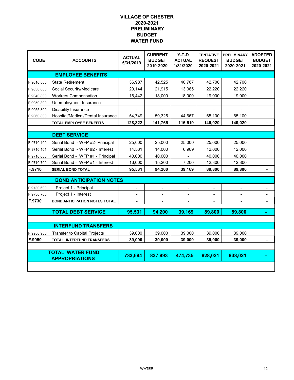| <b>CODE</b> | <b>ACCOUNTS</b>                                  | <b>ACTUAL</b><br>5/31/2019 | <b>CURRENT</b><br><b>BUDGET</b><br>2019-2020 | $Y-T-D$<br><b>ACTUAL</b><br>1/31/2020 | <b>TENTATIVE</b><br><b>REQUEST</b><br>2020-2021 | <b>PRELIMINARY</b><br><b>BUDGET</b><br>2020-2021 | <b>ADOPTED</b><br><b>BUDGET</b><br>2020-2021 |
|-------------|--------------------------------------------------|----------------------------|----------------------------------------------|---------------------------------------|-------------------------------------------------|--------------------------------------------------|----------------------------------------------|
|             | <b>EMPLOYEE BENEFITS</b>                         |                            |                                              |                                       |                                                 |                                                  |                                              |
| F.9010.800  | <b>State Retirement</b>                          | 36,987                     | 42,525                                       | 40,767                                | 42,700                                          | 42,700                                           |                                              |
| F.9030.800  | Social Security/Medicare                         | 20,144                     | 21,915                                       | 13,085                                | 22,220                                          | 22,220                                           |                                              |
| F.9040.800  | <b>Workers Compensation</b>                      | 16,442                     | 18,000                                       | 18,000                                | 19,000                                          | 19,000                                           |                                              |
| F.9050.800  | Unemployment Insurance                           |                            |                                              |                                       |                                                 |                                                  |                                              |
| F.9055.800  | Disability Insurance                             | $\blacksquare$             | $\blacksquare$                               | $\overline{\phantom{a}}$              |                                                 | $\blacksquare$                                   |                                              |
| F.9060.800  | Hospital/Medical/Dental Insurance                | 54,749                     | 59,325                                       | 44,667                                | 65,100                                          | 65,100                                           |                                              |
|             | <b>TOTAL EMPLOYEE BENEFITS</b>                   | 128,322                    | 141,765                                      | 116,519                               | 149,020                                         | 149,020                                          |                                              |
|             |                                                  |                            |                                              |                                       |                                                 |                                                  |                                              |
|             | <b>DEBT SERVICE</b>                              |                            |                                              |                                       |                                                 |                                                  |                                              |
| F.9710.100  | Serial Bond - WFP #2- Principal                  | 25,000                     | 25,000                                       | 25,000                                | 25,000                                          | 25,000                                           |                                              |
| F.9710.101  | Serial Bond - WFP #2 - Interest                  | 14,531                     | 14,000                                       | 6,969                                 | 12,000                                          | 12,000                                           |                                              |
| F.9710.600  | Serial Bond - WFP #1 - Principal                 | 40,000                     | 40,000                                       |                                       | 40,000                                          | 40,000                                           |                                              |
| F.9710.700  | Serial Bond - WFP #1 - Interest                  | 16,000                     | 15,200                                       | 7,200                                 | 12,800                                          | 12,800                                           |                                              |
| F.9710      | <b>SERIAL BOND TOTAL</b>                         | 95,531                     | 94,200                                       | 39,169                                | 89,800                                          | 89,800                                           |                                              |
|             | <b>BOND ANTICIPATION NOTES</b>                   |                            |                                              |                                       |                                                 |                                                  |                                              |
| F.9730.600  |                                                  |                            |                                              |                                       |                                                 |                                                  |                                              |
| F.9730.700  | Project 1 - Principal<br>Project 1 - Interest    | $\overline{\phantom{a}}$   |                                              |                                       |                                                 |                                                  |                                              |
| F.9730      | <b>BOND ANTICIPATION NOTES TOTAL</b>             | $\overline{\phantom{a}}$   | $\qquad \qquad \blacksquare$                 | $\overline{\phantom{0}}$              |                                                 | $\overline{\phantom{a}}$                         | $\qquad \qquad \blacksquare$                 |
|             |                                                  |                            |                                              |                                       |                                                 |                                                  |                                              |
|             | <b>TOTAL DEBT SERVICE</b>                        | 95,531                     | 94,200                                       | 39,169                                | 89,800                                          | 89,800                                           |                                              |
|             |                                                  |                            |                                              |                                       |                                                 |                                                  |                                              |
|             | <b>INTERFUND TRANSFERS</b>                       |                            |                                              |                                       |                                                 |                                                  |                                              |
| F.9950.900  | <b>Transfer to Capital Projects</b>              | 39,000                     | 39,000                                       | 39,000                                | 39,000                                          | 39,000                                           |                                              |
| F.9950      | <b>TOTAL INTERFUND TRANSFERS</b>                 | 39,000                     | 39,000                                       | 39,000                                | 39,000                                          | 39,000                                           |                                              |
|             |                                                  |                            |                                              |                                       |                                                 |                                                  |                                              |
|             | <b>TOTAL WATER FUND</b><br><b>APPROPRIATIONS</b> | 733,694                    | 837,993                                      | 474,735                               | 828,021                                         | 838,021                                          |                                              |
|             |                                                  |                            |                                              |                                       |                                                 |                                                  |                                              |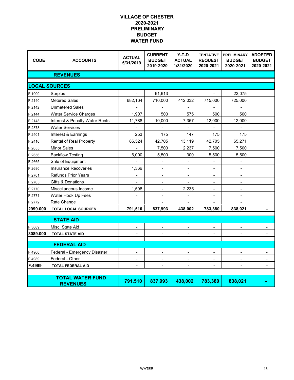| <b>CODE</b>          | <b>ACCOUNTS</b>                            | <b>ACTUAL</b><br>5/31/2019 | <b>CURRENT</b><br><b>BUDGET</b><br>2019-2020 | Y-T-D<br><b>ACTUAL</b><br>1/31/2020 | <b>TENTATIVE</b><br><b>REQUEST</b><br>2020-2021 | <b>PRELIMINARY</b><br><b>BUDGET</b><br>2020-2021 | <b>ADOPTED</b><br><b>BUDGET</b><br>2020-2021 |
|----------------------|--------------------------------------------|----------------------------|----------------------------------------------|-------------------------------------|-------------------------------------------------|--------------------------------------------------|----------------------------------------------|
|                      | <b>REVENUES</b>                            |                            |                                              |                                     |                                                 |                                                  |                                              |
| <b>LOCAL SOURCES</b> |                                            |                            |                                              |                                     |                                                 |                                                  |                                              |
| F.1000               | Surplus                                    |                            | 61,613                                       |                                     |                                                 | 22,075                                           |                                              |
| F.2140               | <b>Metered Sales</b>                       | 682,164                    | 710,000                                      | 412,032                             | 715,000                                         | 725,000                                          |                                              |
| F.2142               | <b>Unmetered Sales</b>                     |                            | $\overline{\phantom{a}}$                     | $\blacksquare$                      |                                                 | $\overline{\phantom{a}}$                         |                                              |
| F.2144               | <b>Water Service Charges</b>               | 1,907                      | 500                                          | 575                                 | 500                                             | 500                                              |                                              |
| F.2148               | Interest & Penalty Water Rents             | 11,788                     | 10,000                                       | 7,357                               | 12,000                                          | 12,000                                           |                                              |
| F.2378               | <b>Water Services</b>                      |                            |                                              |                                     |                                                 |                                                  |                                              |
| F.2401               | Interest & Earnings                        | 253                        | 175                                          | 147                                 | 175                                             | 175                                              |                                              |
| F.2410               | Rental of Real Property                    | 86,524                     | 42,705                                       | 13,119                              | 42,705                                          | 65,271                                           |                                              |
| F.2655               | <b>Minor Sales</b>                         |                            | 7,500                                        | 2,237                               | 7,500                                           | 7,500                                            |                                              |
| F.2656               | <b>Backflow Testing</b>                    | 6,000                      | 5,500                                        | 300                                 | 5,500                                           | 5,500                                            |                                              |
| F.2665               | Sale of Equipment                          |                            |                                              |                                     |                                                 |                                                  |                                              |
| F.2680               | <b>Insurance Recoveries</b>                | 1,366                      | $\blacksquare$                               | $\overline{\phantom{a}}$            |                                                 |                                                  |                                              |
| F.2701               | <b>Refunds Prior Years</b>                 |                            |                                              |                                     |                                                 |                                                  |                                              |
| F.2705               | Gifts & Donations                          |                            | $\overline{\phantom{a}}$                     |                                     | $\overline{\phantom{a}}$                        | $\overline{\phantom{a}}$                         |                                              |
| F.2770               | Miscellaneous Income                       | 1,508                      | $\blacksquare$                               | 2,235                               | $\blacksquare$                                  |                                                  |                                              |
| F.2771               | Water Hook Up Fees                         |                            | $\blacksquare$                               |                                     | $\overline{a}$                                  |                                                  |                                              |
| F.2772               | Rate Change                                |                            |                                              |                                     |                                                 |                                                  |                                              |
| 2999.000             | <b>TOTAL LOCAL SOURCES</b>                 | 791,510                    | 837,993                                      | 438,002                             | 783,380                                         | 838,021                                          |                                              |
|                      | <b>STATE AID</b>                           |                            |                                              |                                     |                                                 |                                                  |                                              |
| F.3089               | Misc. State Aid                            |                            |                                              |                                     |                                                 |                                                  |                                              |
| 3089.000             | <b>TOTAL STATE AID</b>                     | $\blacksquare$             | $\blacksquare$                               |                                     | ٠                                               |                                                  |                                              |
|                      | <b>FEDERAL AID</b>                         |                            |                                              |                                     |                                                 |                                                  |                                              |
| F.4960               | Federal - Emergency Disaster               |                            |                                              |                                     |                                                 |                                                  |                                              |
| F.4989               | Federal - Other                            |                            |                                              |                                     | $\overline{a}$                                  |                                                  |                                              |
| F.4999               | <b>TOTAL FEDERAL AID</b>                   |                            |                                              |                                     |                                                 |                                                  |                                              |
|                      |                                            |                            |                                              |                                     |                                                 |                                                  |                                              |
|                      | <b>TOTAL WATER FUND</b><br><b>REVENUES</b> | 791,510                    | 837,993                                      | 438,002                             | 783,380                                         | 838,021                                          |                                              |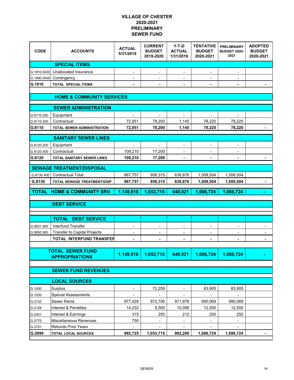#### **VILLAGE OF CHESTER 2020-2021 PRELIMINARY SEWER FUND**

| <b>CODE</b>                          | <b>ACCOUNTS</b>                                   | <b>ACTUAL</b><br>5/31/2019 | <b>CURRENT</b><br><b>BUDGET</b><br>2019-2020 | $Y-T-D$<br><b>ACTUAL</b><br>1/31/2019 | <b>TENTATIVE</b><br><b>BUDGET</b><br>2020-2021 | <b>PRELIMINARY</b><br><b>BUDGET 2020-</b><br>2021 | <b>ADOPTED</b><br><b>BUDGET</b><br>2020-2021 |  |  |  |  |  |
|--------------------------------------|---------------------------------------------------|----------------------------|----------------------------------------------|---------------------------------------|------------------------------------------------|---------------------------------------------------|----------------------------------------------|--|--|--|--|--|
|                                      | <b>SPECIAL ITEMS</b>                              |                            |                                              |                                       |                                                |                                                   |                                              |  |  |  |  |  |
| G.1910.0430                          | Unallocated Insurance                             | $\overline{\phantom{0}}$   | $\overline{\phantom{a}}$                     |                                       |                                                |                                                   |                                              |  |  |  |  |  |
| G.1990.0400                          | Contingency                                       |                            |                                              |                                       |                                                |                                                   |                                              |  |  |  |  |  |
| G.1910                               | <b>TOTAL SPECIAL ITEMS</b>                        | ۰                          | ٠                                            | ۰                                     | ٠                                              | $\blacksquare$                                    |                                              |  |  |  |  |  |
|                                      |                                                   |                            |                                              |                                       |                                                |                                                   |                                              |  |  |  |  |  |
| <b>HOME &amp; COMMUNITY SERVICES</b> |                                                   |                            |                                              |                                       |                                                |                                                   |                                              |  |  |  |  |  |
| <b>SEWER ADMINISTRATION</b>          |                                                   |                            |                                              |                                       |                                                |                                                   |                                              |  |  |  |  |  |
| G.8110.200                           | Equipment                                         |                            |                                              |                                       |                                                |                                                   |                                              |  |  |  |  |  |
| G.8110.400                           | Contractual                                       | 72,951                     | 78,200                                       | 1,145                                 | 78,220                                         | 78,220                                            |                                              |  |  |  |  |  |
| G.8110                               | TOTAL SEWER ADMINISTRATION                        | 72,951                     | 78,200                                       | 1,145                                 | 78,220                                         | 78,220                                            |                                              |  |  |  |  |  |
|                                      |                                                   |                            |                                              |                                       |                                                |                                                   |                                              |  |  |  |  |  |
|                                      | <b>SANITARY SEWER LINES</b>                       |                            |                                              |                                       |                                                |                                                   |                                              |  |  |  |  |  |
| G.8120.200                           | Equipment                                         | $\blacksquare$             | $\blacksquare$                               | $\overline{\phantom{a}}$              | $\overline{\phantom{0}}$                       | $\overline{\phantom{a}}$                          |                                              |  |  |  |  |  |
| G.8120.400                           | Contractual                                       | 109,210                    | 17,200                                       |                                       |                                                |                                                   |                                              |  |  |  |  |  |
| G.8120                               | <b>TOTAL SANITARY SEWER LINES</b>                 | 109,210                    | 17,200                                       |                                       | $\blacksquare$                                 | $\blacksquare$                                    |                                              |  |  |  |  |  |
|                                      | <b>SEWAGE TREATMENT/DISPOSAL</b>                  |                            |                                              |                                       |                                                |                                                   |                                              |  |  |  |  |  |
| G.8130.400                           | <b>Contractual Total</b>                          | 967,757                    | 958,315                                      | 638,876                               | 1,008,504                                      | 1,008,504                                         |                                              |  |  |  |  |  |
| G.8130                               | <b>TOTAL SEWAGE TREATMENT/DISP</b>                | 967,757                    | 958,315                                      | 638,876                               | 1,008,504                                      | 1,008,504                                         |                                              |  |  |  |  |  |
| <b>TOTAL</b>                         | <b>HOME &amp; COMMUNITY SRV.</b>                  | 1,149,918                  | 1,053,715                                    | 640,021                               | 1,086,724                                      | 1,086,724                                         |                                              |  |  |  |  |  |
|                                      |                                                   |                            |                                              |                                       |                                                |                                                   |                                              |  |  |  |  |  |
|                                      | <b>DEBT SERVICE</b>                               |                            |                                              |                                       |                                                |                                                   |                                              |  |  |  |  |  |
|                                      |                                                   |                            |                                              |                                       |                                                |                                                   |                                              |  |  |  |  |  |
|                                      | <b>TOTAL</b><br><b>DEBT SERVICE</b>               |                            |                                              |                                       |                                                |                                                   |                                              |  |  |  |  |  |
| G.9501.900                           | Interfund Transfer                                |                            |                                              |                                       |                                                |                                                   |                                              |  |  |  |  |  |
| G.9950.900                           | Transfer to Capital Projects                      |                            |                                              |                                       |                                                |                                                   |                                              |  |  |  |  |  |
|                                      | <b>TOTAL INTERFUND TRANSFER</b>                   |                            |                                              |                                       |                                                |                                                   |                                              |  |  |  |  |  |
|                                      |                                                   |                            |                                              |                                       |                                                |                                                   |                                              |  |  |  |  |  |
|                                      | <b>TOTAL SEWER FUND</b>                           | 1,149,918                  | 1,053,715                                    | 640,021                               | 1,086,724                                      | 1,086,724                                         |                                              |  |  |  |  |  |
|                                      |                                                   |                            |                                              |                                       |                                                |                                                   |                                              |  |  |  |  |  |
|                                      | <b>APPROPRIATIONS</b>                             |                            |                                              |                                       |                                                |                                                   |                                              |  |  |  |  |  |
|                                      |                                                   |                            |                                              |                                       |                                                |                                                   |                                              |  |  |  |  |  |
|                                      | <b>SEWER FUND REVENUES</b>                        |                            |                                              |                                       |                                                |                                                   |                                              |  |  |  |  |  |
|                                      | <b>LOCAL SOURCES</b>                              |                            |                                              |                                       |                                                |                                                   |                                              |  |  |  |  |  |
| G.1000                               | Surplus                                           | -                          | 72,259                                       | -                                     | 83,905                                         | 83,905                                            |                                              |  |  |  |  |  |
| G.1030                               | <b>Special Assessments</b>                        | $\overline{\phantom{0}}$   | $\qquad \qquad \blacksquare$                 | $\overline{\phantom{0}}$              | $\overline{\phantom{0}}$                       | $\overline{\phantom{a}}$                          |                                              |  |  |  |  |  |
| G.2120                               | Sewer Rents                                       | 977,428                    | 972,706                                      | 971,978                               | 990,069                                        | 990,069                                           |                                              |  |  |  |  |  |
| G.2128                               | Interest & Penalties                              | 14,232                     | 8,500                                        | 10,099                                | 12,500                                         | 12,500                                            |                                              |  |  |  |  |  |
| G.2401                               | Interest & Earnings                               | 315                        | 250                                          | 212                                   | 250                                            | 250                                               |                                              |  |  |  |  |  |
| G.2770                               | Miscellaneous Revenues                            | 750                        | $\overline{\phantom{a}}$                     | $\overline{\phantom{0}}$              | -                                              | $\overline{\phantom{a}}$                          |                                              |  |  |  |  |  |
| G.2701<br>G.2999                     | <b>Refunds Prior Years</b><br>TOTAL LOCAL SOURCES | ÷,<br>992,725              | -<br>1,053,715                               | 982,289                               | 1,086,724                                      | 1,086,724                                         |                                              |  |  |  |  |  |